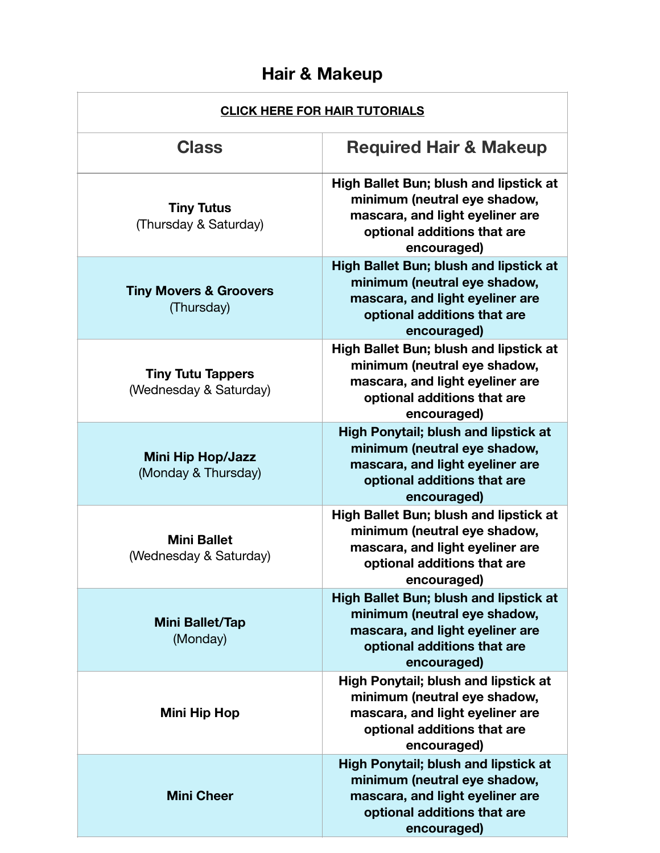# **Hair & Makeup**

| <b>CLICK HERE FOR HAIR TUTORIALS</b>               |                                                                                                                                                                |
|----------------------------------------------------|----------------------------------------------------------------------------------------------------------------------------------------------------------------|
| <b>Class</b>                                       | <b>Required Hair &amp; Makeup</b>                                                                                                                              |
| <b>Tiny Tutus</b><br>(Thursday & Saturday)         | <b>High Ballet Bun; blush and lipstick at</b><br>minimum (neutral eye shadow,<br>mascara, and light eyeliner are<br>optional additions that are<br>encouraged) |
| <b>Tiny Movers &amp; Groovers</b><br>(Thursday)    | <b>High Ballet Bun; blush and lipstick at</b><br>minimum (neutral eye shadow,<br>mascara, and light eyeliner are<br>optional additions that are<br>encouraged) |
| <b>Tiny Tutu Tappers</b><br>(Wednesday & Saturday) | <b>High Ballet Bun; blush and lipstick at</b><br>minimum (neutral eye shadow,<br>mascara, and light eyeliner are<br>optional additions that are<br>encouraged) |
| <b>Mini Hip Hop/Jazz</b><br>(Monday & Thursday)    | <b>High Ponytail; blush and lipstick at</b><br>minimum (neutral eye shadow,<br>mascara, and light eyeliner are<br>optional additions that are<br>encouraged)   |
| <b>Mini Ballet</b><br>(Wednesday & Saturday)       | <b>High Ballet Bun; blush and lipstick at</b><br>minimum (neutral eye shadow,<br>mascara, and light eyeliner are<br>optional additions that are<br>encouraged) |
| Mini Ballet/Tap<br>(Monday)                        | <b>High Ballet Bun; blush and lipstick at</b><br>minimum (neutral eye shadow,<br>mascara, and light eyeliner are<br>optional additions that are<br>encouraged) |
| <b>Mini Hip Hop</b>                                | <b>High Ponytail; blush and lipstick at</b><br>minimum (neutral eye shadow,<br>mascara, and light eyeliner are<br>optional additions that are<br>encouraged)   |
| <b>Mini Cheer</b>                                  | <b>High Ponytail; blush and lipstick at</b><br>minimum (neutral eye shadow,<br>mascara, and light eyeliner are<br>optional additions that are<br>encouraged)   |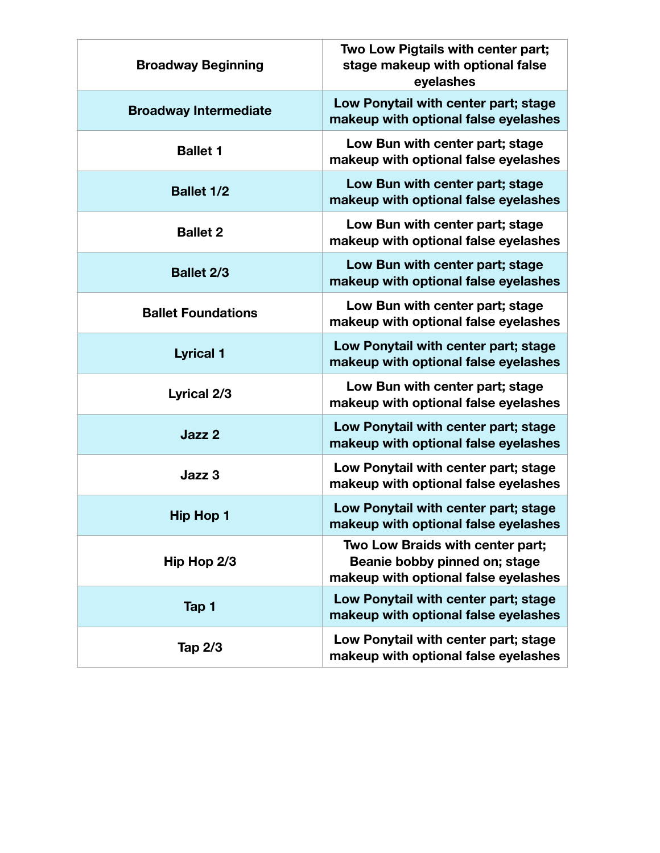| <b>Broadway Beginning</b>    | Two Low Pigtails with center part;<br>stage makeup with optional false<br>eyelashes                       |
|------------------------------|-----------------------------------------------------------------------------------------------------------|
| <b>Broadway Intermediate</b> | Low Ponytail with center part; stage<br>makeup with optional false eyelashes                              |
| <b>Ballet 1</b>              | Low Bun with center part; stage<br>makeup with optional false eyelashes                                   |
| <b>Ballet 1/2</b>            | Low Bun with center part; stage<br>makeup with optional false eyelashes                                   |
| <b>Ballet 2</b>              | Low Bun with center part; stage<br>makeup with optional false eyelashes                                   |
| <b>Ballet 2/3</b>            | Low Bun with center part; stage<br>makeup with optional false eyelashes                                   |
| <b>Ballet Foundations</b>    | Low Bun with center part; stage<br>makeup with optional false eyelashes                                   |
| <b>Lyrical 1</b>             | Low Ponytail with center part; stage<br>makeup with optional false eyelashes                              |
| <b>Lyrical 2/3</b>           | Low Bun with center part; stage<br>makeup with optional false eyelashes                                   |
| Jazz 2                       | Low Ponytail with center part; stage<br>makeup with optional false eyelashes                              |
| Jazz 3                       | Low Ponytail with center part; stage<br>makeup with optional false eyelashes                              |
| <b>Hip Hop 1</b>             | Low Ponytail with center part; stage<br>makeup with optional false eyelashes                              |
| Hip Hop 2/3                  | Two Low Braids with center part;<br>Beanie bobby pinned on; stage<br>makeup with optional false eyelashes |
| Tap 1                        | Low Ponytail with center part; stage<br>makeup with optional false eyelashes                              |
| <b>Tap 2/3</b>               | Low Ponytail with center part; stage<br>makeup with optional false eyelashes                              |